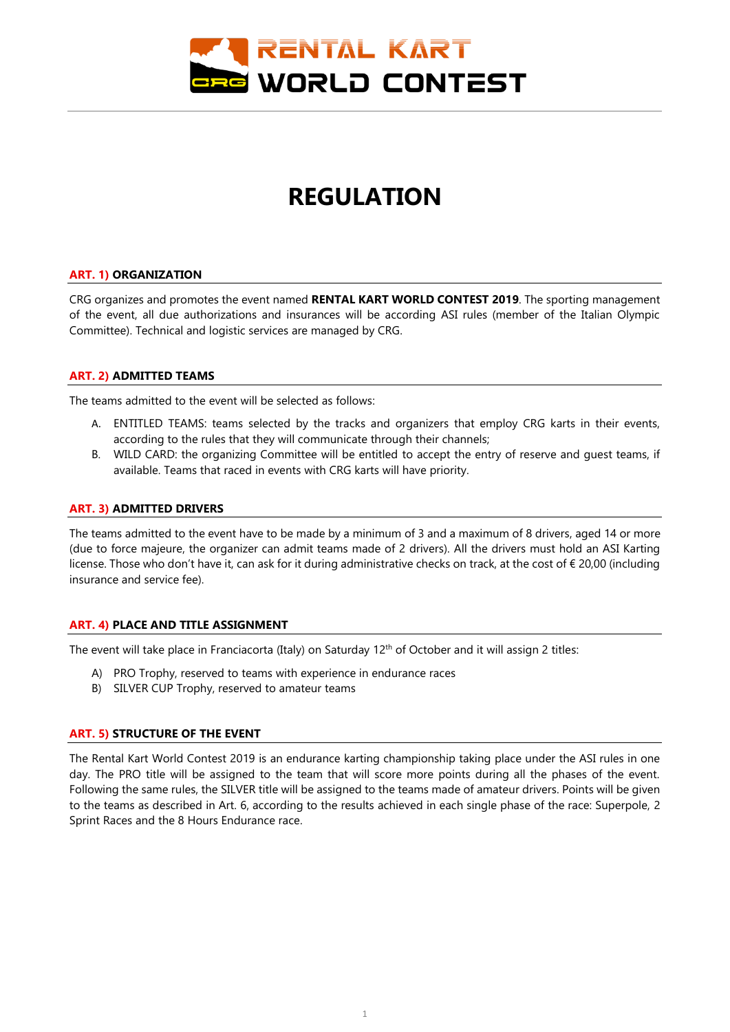

# **REGULATION**

#### **ART. 1) ORGANIZATION**

CRG organizes and promotes the event named **RENTAL KART WORLD CONTEST 2019**. The sporting management of the event, all due authorizations and insurances will be according ASI rules (member of the Italian Olympic Committee). Technical and logistic services are managed by CRG.

## **ART. 2) ADMITTED TEAMS**

The teams admitted to the event will be selected as follows:

- A. ENTITLED TEAMS: teams selected by the tracks and organizers that employ CRG karts in their events, according to the rules that they will communicate through their channels;
- B. WILD CARD: the organizing Committee will be entitled to accept the entry of reserve and guest teams, if available. Teams that raced in events with CRG karts will have priority.

## **ART. 3) ADMITTED DRIVERS**

The teams admitted to the event have to be made by a minimum of 3 and a maximum of 8 drivers, aged 14 or more (due to force majeure, the organizer can admit teams made of 2 drivers). All the drivers must hold an ASI Karting license. Those who don't have it, can ask for it during administrative checks on track, at the cost of € 20,00 (including insurance and service fee).

# **ART. 4) PLACE AND TITLE ASSIGNMENT**

The event will take place in Franciacorta (Italy) on Saturday  $12<sup>th</sup>$  of October and it will assign 2 titles:

- A) PRO Trophy, reserved to teams with experience in endurance races
- B) SILVER CUP Trophy, reserved to amateur teams

# **ART. 5) STRUCTURE OF THE EVENT**

The Rental Kart World Contest 2019 is an endurance karting championship taking place under the ASI rules in one day. The PRO title will be assigned to the team that will score more points during all the phases of the event. Following the same rules, the SILVER title will be assigned to the teams made of amateur drivers. Points will be given to the teams as described in Art. 6, according to the results achieved in each single phase of the race: Superpole, 2 Sprint Races and the 8 Hours Endurance race.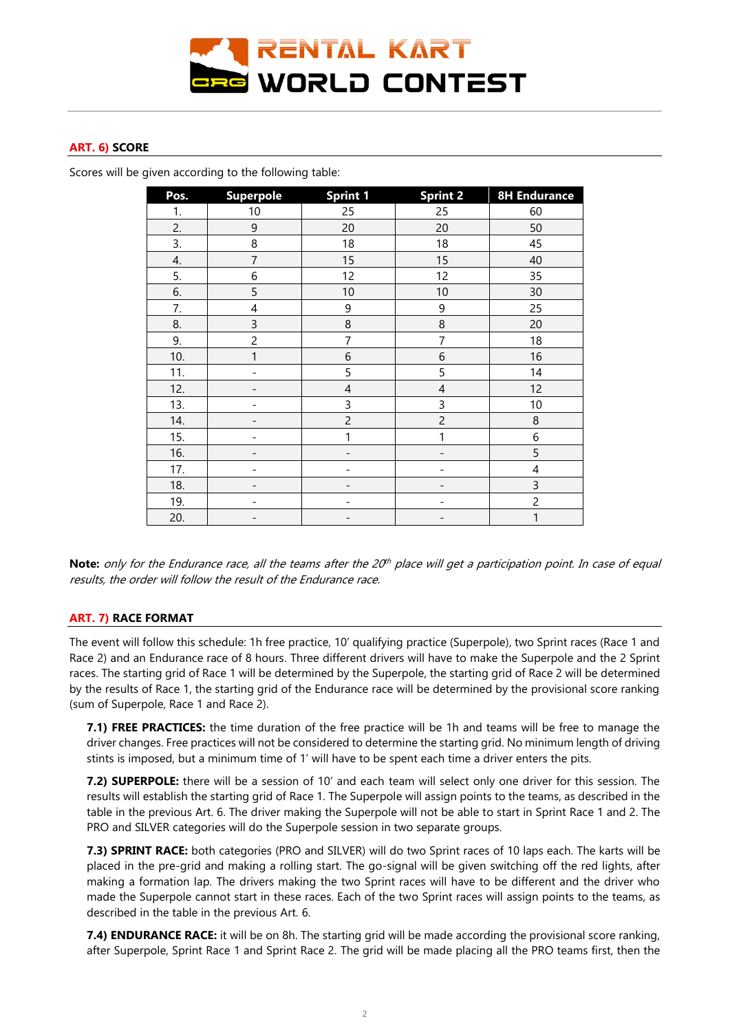

## **ART. 6) SCORE**

Scores will be given according to the following table:

| Pos. | <b>Superpole</b>         | <b>Sprint 1</b>          | <b>Sprint 2</b>          | <b>8H Endurance</b>      |
|------|--------------------------|--------------------------|--------------------------|--------------------------|
| 1.   | 10                       | 25                       | 25                       | 60                       |
| 2.   | 9                        | 20                       | 20                       | 50                       |
| 3.   | 8                        | 18                       | 18                       | 45                       |
| 4.   | $\overline{7}$           | 15                       | 15                       | 40                       |
| 5.   | $\,$ 6 $\,$              | 12                       | 12                       | 35                       |
| 6.   | 5                        | 10                       | 10                       | 30                       |
| 7.   | 4                        | 9                        | 9                        | 25                       |
| 8.   | $\mathsf 3$              | 8                        | 8                        | 20                       |
| 9.   | $\overline{c}$           | 7                        | $\overline{7}$           | 18                       |
| 10.  | 1                        | 6                        | $\sqrt{6}$               | 16                       |
| 11.  |                          | 5                        | 5                        | 14                       |
| 12.  | $\overline{\phantom{a}}$ | $\overline{4}$           | $\overline{4}$           | 12                       |
| 13.  |                          | 3                        | 3                        | 10                       |
| 14.  |                          | $\overline{c}$           | $\overline{c}$           | 8                        |
| 15.  |                          | 1                        | 1                        | 6                        |
| 16.  | $\overline{\phantom{a}}$ | $\overline{\phantom{0}}$ | $\overline{\phantom{a}}$ | 5                        |
| 17.  |                          | ۰                        |                          | $\overline{\mathcal{A}}$ |
| 18.  |                          | ٠                        |                          | 3                        |
| 19.  |                          |                          |                          | $\overline{c}$           |
| 20.  | $\overline{\phantom{a}}$ | $\qquad \qquad -$        | $\qquad \qquad -$        | $\mathbf{1}$             |

**Note:** only for the Endurance race, all the teams after the 20<sup>th</sup> place will get a participation point. In case of equal results, the order will follow the result of the Endurance race.

#### **ART. 7) RACE FORMAT**

The event will follow this schedule: 1h free practice, 10' qualifying practice (Superpole), two Sprint races (Race 1 and Race 2) and an Endurance race of 8 hours. Three different drivers will have to make the Superpole and the 2 Sprint races. The starting grid of Race 1 will be determined by the Superpole, the starting grid of Race 2 will be determined by the results of Race 1, the starting grid of the Endurance race will be determined by the provisional score ranking (sum of Superpole, Race 1 and Race 2).

**7.1) FREE PRACTICES:** the time duration of the free practice will be 1h and teams will be free to manage the driver changes. Free practices will not be considered to determine the starting grid. No minimum length of driving stints is imposed, but a minimum time of 1' will have to be spent each time a driver enters the pits.

**7.2) SUPERPOLE:** there will be a session of 10' and each team will select only one driver for this session. The results will establish the starting grid of Race 1. The Superpole will assign points to the teams, as described in the table in the previous Art. 6. The driver making the Superpole will not be able to start in Sprint Race 1 and 2. The PRO and SILVER categories will do the Superpole session in two separate groups.

**7.3) SPRINT RACE:** both categories (PRO and SILVER) will do two Sprint races of 10 laps each. The karts will be placed in the pre-grid and making a rolling start. The go-signal will be given switching off the red lights, after making a formation lap. The drivers making the two Sprint races will have to be different and the driver who made the Superpole cannot start in these races. Each of the two Sprint races will assign points to the teams, as described in the table in the previous Art. 6.

**7.4) ENDURANCE RACE:** it will be on 8h. The starting grid will be made according the provisional score ranking, after Superpole, Sprint Race 1 and Sprint Race 2. The grid will be made placing all the PRO teams first, then the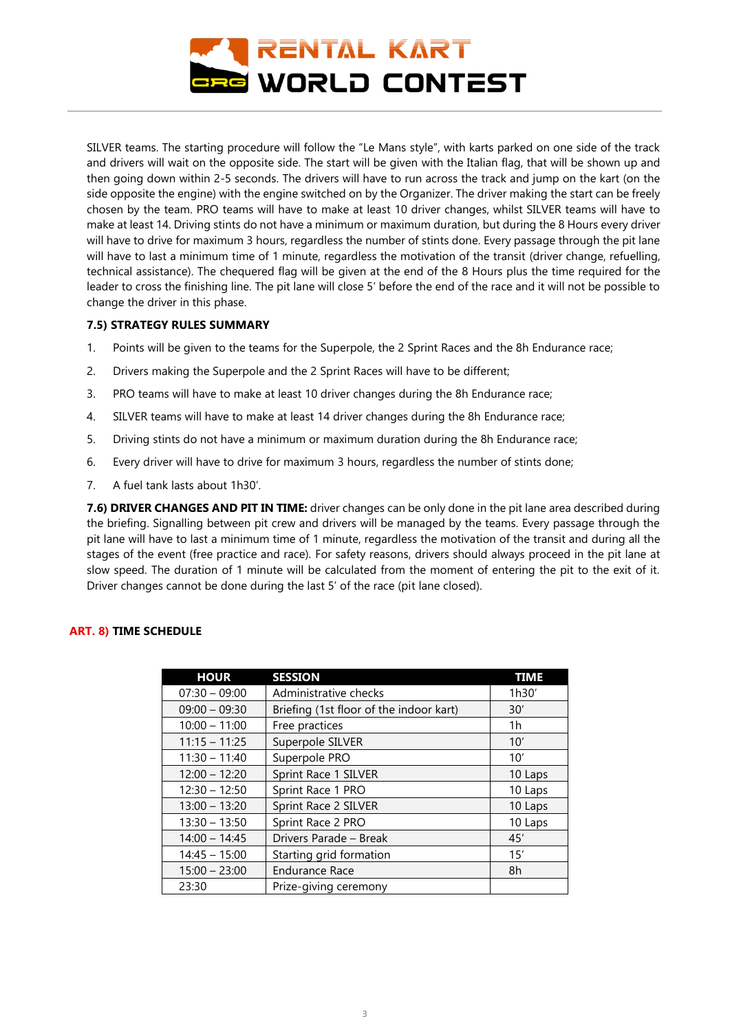

SILVER teams. The starting procedure will follow the "Le Mans style", with karts parked on one side of the track and drivers will wait on the opposite side. The start will be given with the Italian flag, that will be shown up and then going down within 2-5 seconds. The drivers will have to run across the track and jump on the kart (on the side opposite the engine) with the engine switched on by the Organizer. The driver making the start can be freely chosen by the team. PRO teams will have to make at least 10 driver changes, whilst SILVER teams will have to make at least 14. Driving stints do not have a minimum or maximum duration, but during the 8 Hours every driver will have to drive for maximum 3 hours, regardless the number of stints done. Every passage through the pit lane will have to last a minimum time of 1 minute, regardless the motivation of the transit (driver change, refuelling, technical assistance). The chequered flag will be given at the end of the 8 Hours plus the time required for the leader to cross the finishing line. The pit lane will close 5' before the end of the race and it will not be possible to change the driver in this phase.

# **7.5) STRATEGY RULES SUMMARY**

- 1. Points will be given to the teams for the Superpole, the 2 Sprint Races and the 8h Endurance race;
- 2. Drivers making the Superpole and the 2 Sprint Races will have to be different;
- 3. PRO teams will have to make at least 10 driver changes during the 8h Endurance race;
- 4. SILVER teams will have to make at least 14 driver changes during the 8h Endurance race;
- 5. Driving stints do not have a minimum or maximum duration during the 8h Endurance race;
- 6. Every driver will have to drive for maximum 3 hours, regardless the number of stints done;
- 7. A fuel tank lasts about 1h30'.

**7.6) DRIVER CHANGES AND PIT IN TIME:** driver changes can be only done in the pit lane area described during the briefing. Signalling between pit crew and drivers will be managed by the teams. Every passage through the pit lane will have to last a minimum time of 1 minute, regardless the motivation of the transit and during all the stages of the event (free practice and race). For safety reasons, drivers should always proceed in the pit lane at slow speed. The duration of 1 minute will be calculated from the moment of entering the pit to the exit of it. Driver changes cannot be done during the last 5' of the race (pit lane closed).

# **ART. 8) TIME SCHEDULE**

| <b>HOUR</b>     | <b>SESSION</b>                          | <b>TIME</b> |
|-----------------|-----------------------------------------|-------------|
| $07:30 - 09:00$ | Administrative checks                   | 1h30'       |
| $09:00 - 09:30$ | Briefing (1st floor of the indoor kart) | 30'         |
| $10:00 - 11:00$ | Free practices                          | 1h          |
| $11:15 - 11:25$ | Superpole SILVER                        | 10'         |
| $11:30 - 11:40$ | Superpole PRO                           | 10'         |
| $12:00 - 12:20$ | Sprint Race 1 SILVER                    | 10 Laps     |
| $12:30 - 12:50$ | Sprint Race 1 PRO                       | 10 Laps     |
| $13:00 - 13:20$ | Sprint Race 2 SILVER                    | 10 Laps     |
| $13:30 - 13:50$ | Sprint Race 2 PRO                       | 10 Laps     |
| $14:00 - 14:45$ | Drivers Parade - Break                  | 45'         |
| $14:45 - 15:00$ | Starting grid formation                 | 15'         |
| $15:00 - 23:00$ | <b>Endurance Race</b>                   | 8h          |
| 23:30           | Prize-giving ceremony                   |             |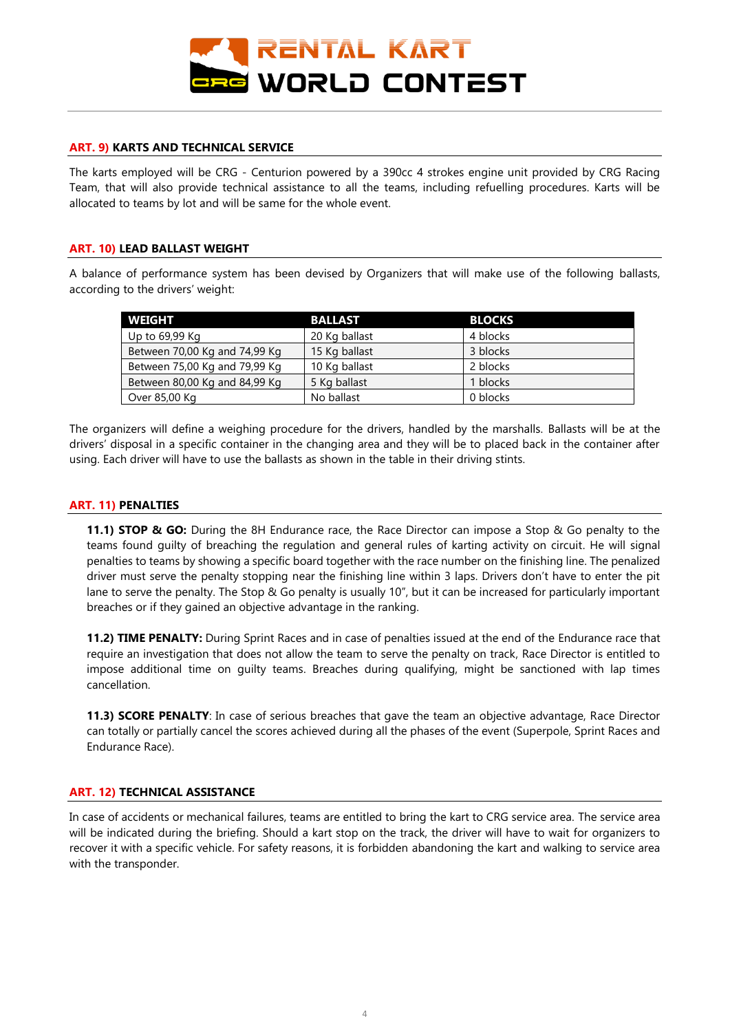

## **ART. 9) KARTS AND TECHNICAL SERVICE**

The karts employed will be CRG - Centurion powered by a 390cc 4 strokes engine unit provided by CRG Racing Team, that will also provide technical assistance to all the teams, including refuelling procedures. Karts will be allocated to teams by lot and will be same for the whole event.

## **ART. 10) LEAD BALLAST WEIGHT**

A balance of performance system has been devised by Organizers that will make use of the following ballasts, according to the drivers' weight:

| <b>WEIGHT</b>                 | <b>BALLAST</b> | <b>BLOCKS</b> |
|-------------------------------|----------------|---------------|
| Up to 69,99 Kg                | 20 Kg ballast  | 4 blocks      |
| Between 70,00 Kg and 74,99 Kg | 15 Kg ballast  | 3 blocks      |
| Between 75,00 Kg and 79,99 Kg | 10 Kg ballast  | 2 blocks      |
| Between 80,00 Kg and 84,99 Kg | 5 Kg ballast   | 1 blocks      |
| Over 85,00 Kg                 | No ballast     | 0 blocks      |

The organizers will define a weighing procedure for the drivers, handled by the marshalls. Ballasts will be at the drivers' disposal in a specific container in the changing area and they will be to placed back in the container after using. Each driver will have to use the ballasts as shown in the table in their driving stints.

## **ART. 11) PENALTIES**

**11.1) STOP & GO:** During the 8H Endurance race, the Race Director can impose a Stop & Go penalty to the teams found guilty of breaching the regulation and general rules of karting activity on circuit. He will signal penalties to teams by showing a specific board together with the race number on the finishing line. The penalized driver must serve the penalty stopping near the finishing line within 3 laps. Drivers don't have to enter the pit lane to serve the penalty. The Stop & Go penalty is usually 10", but it can be increased for particularly important breaches or if they gained an objective advantage in the ranking.

**11.2) TIME PENALTY:** During Sprint Races and in case of penalties issued at the end of the Endurance race that require an investigation that does not allow the team to serve the penalty on track, Race Director is entitled to impose additional time on guilty teams. Breaches during qualifying, might be sanctioned with lap times cancellation.

**11.3) SCORE PENALTY**: In case of serious breaches that gave the team an objective advantage, Race Director can totally or partially cancel the scores achieved during all the phases of the event (Superpole, Sprint Races and Endurance Race).

#### **ART. 12) TECHNICAL ASSISTANCE**

In case of accidents or mechanical failures, teams are entitled to bring the kart to CRG service area. The service area will be indicated during the briefing. Should a kart stop on the track, the driver will have to wait for organizers to recover it with a specific vehicle. For safety reasons, it is forbidden abandoning the kart and walking to service area with the transponder.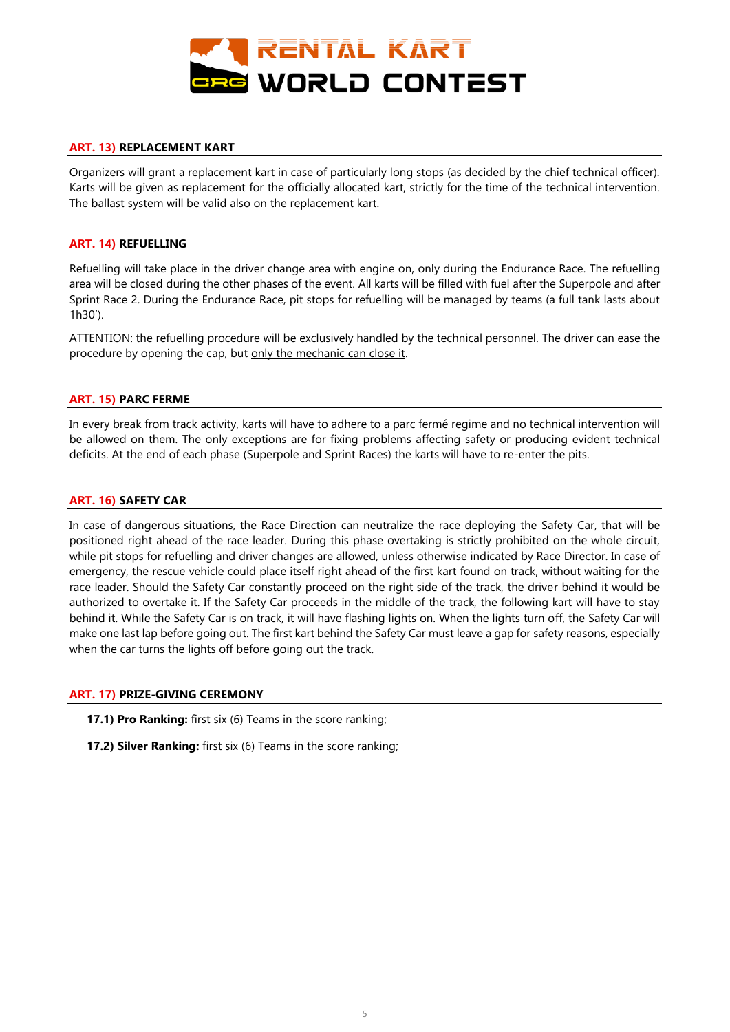

## **ART. 13) REPLACEMENT KART**

Organizers will grant a replacement kart in case of particularly long stops (as decided by the chief technical officer). Karts will be given as replacement for the officially allocated kart, strictly for the time of the technical intervention. The ballast system will be valid also on the replacement kart.

## **ART. 14) REFUELLING**

Refuelling will take place in the driver change area with engine on, only during the Endurance Race. The refuelling area will be closed during the other phases of the event. All karts will be filled with fuel after the Superpole and after Sprint Race 2. During the Endurance Race, pit stops for refuelling will be managed by teams (a full tank lasts about 1h30').

ATTENTION: the refuelling procedure will be exclusively handled by the technical personnel. The driver can ease the procedure by opening the cap, but only the mechanic can close it.

#### **ART. 15) PARC FERME**

In every break from track activity, karts will have to adhere to a parc fermé regime and no technical intervention will be allowed on them. The only exceptions are for fixing problems affecting safety or producing evident technical deficits. At the end of each phase (Superpole and Sprint Races) the karts will have to re-enter the pits.

## **ART. 16) SAFETY CAR**

In case of dangerous situations, the Race Direction can neutralize the race deploying the Safety Car, that will be positioned right ahead of the race leader. During this phase overtaking is strictly prohibited on the whole circuit, while pit stops for refuelling and driver changes are allowed, unless otherwise indicated by Race Director. In case of emergency, the rescue vehicle could place itself right ahead of the first kart found on track, without waiting for the race leader. Should the Safety Car constantly proceed on the right side of the track, the driver behind it would be authorized to overtake it. If the Safety Car proceeds in the middle of the track, the following kart will have to stay behind it. While the Safety Car is on track, it will have flashing lights on. When the lights turn off, the Safety Car will make one last lap before going out. The first kart behind the Safety Car must leave a gap for safety reasons, especially when the car turns the lights off before going out the track.

#### **ART. 17) PRIZE-GIVING CEREMONY**

**17.1) Pro Ranking:** first six (6) Teams in the score ranking;

**17.2) Silver Ranking:** first six (6) Teams in the score ranking;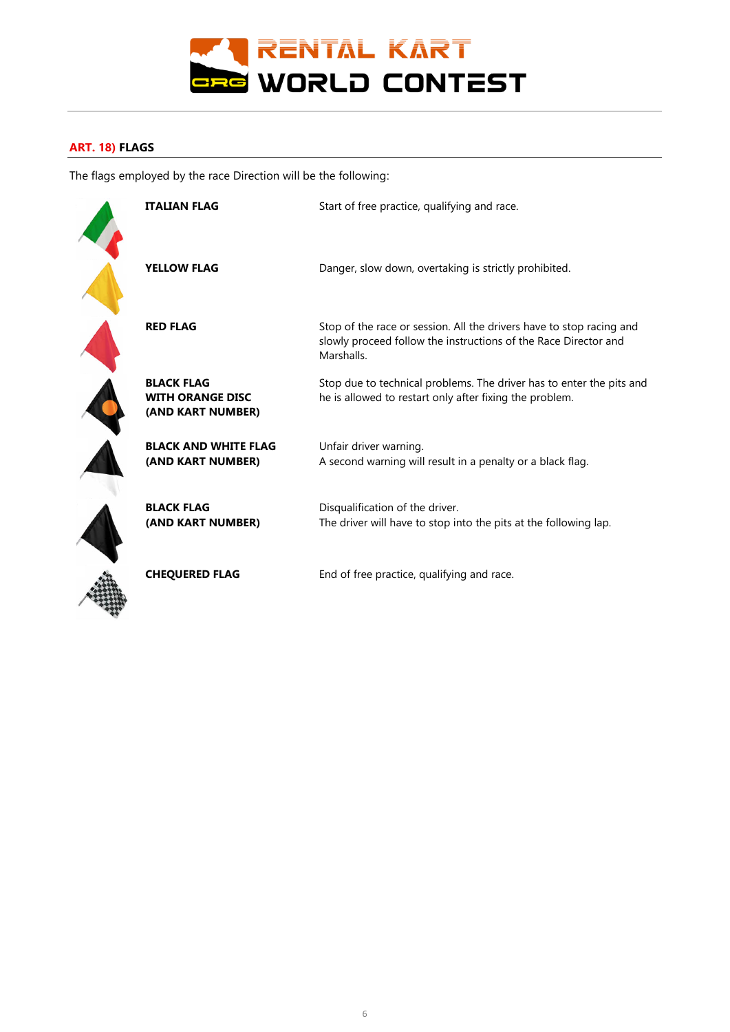

# **ART. 18) FLAGS**

The flags employed by the race Direction will be the following:

| <b>ITALIAN FLAG</b>                                               | Start of free practice, qualifying and race.                                                                                                          |
|-------------------------------------------------------------------|-------------------------------------------------------------------------------------------------------------------------------------------------------|
| <b>YELLOW FLAG</b>                                                | Danger, slow down, overtaking is strictly prohibited.                                                                                                 |
| <b>RED FLAG</b>                                                   | Stop of the race or session. All the drivers have to stop racing and<br>slowly proceed follow the instructions of the Race Director and<br>Marshalls. |
| <b>BLACK FLAG</b><br><b>WITH ORANGE DISC</b><br>(AND KART NUMBER) | Stop due to technical problems. The driver has to enter the pits and<br>he is allowed to restart only after fixing the problem.                       |
| <b>BLACK AND WHITE FLAG</b><br>(AND KART NUMBER)                  | Unfair driver warning.<br>A second warning will result in a penalty or a black flag.                                                                  |
| <b>BLACK FLAG</b><br>(AND KART NUMBER)                            | Disqualification of the driver.<br>The driver will have to stop into the pits at the following lap.                                                   |
| <b>CHEQUERED FLAG</b>                                             | End of free practice, qualifying and race.                                                                                                            |